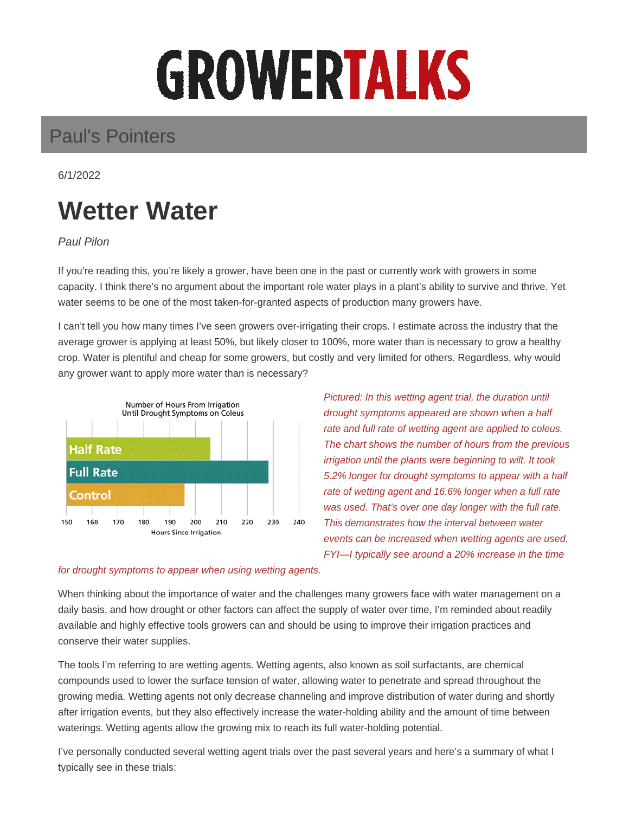# GROWERTALKS

## Paul's Pointers

6/1/2022

## **Wetter Water**

Paul Pilon

If you're reading this, you're likely a grower, have been one in the past or currently work with growers in some capacity. I think there's no argument about the important role water plays in a plant's ability to survive and thrive. Yet water seems to be one of the most taken-for-granted aspects of production many growers have.

I can't tell you how many times I've seen growers over-irrigating their crops. I estimate across the industry that the average grower is applying at least 50%, but likely closer to 100%, more water than is necessary to grow a healthy crop. Water is plentiful and cheap for some growers, but costly and very limited for others. Regardless, why would any grower want to apply more water than is necessary?



Pictured: In this wetting agent trial, the duration until drought symptoms appeared are shown when a half rate and full rate of wetting agent are applied to coleus. The chart shows the number of hours from the previous irrigation until the plants were beginning to wilt. It took 5.2% longer for drought symptoms to appear with a half rate of wetting agent and 16.6% longer when a full rate was used. That's over one day longer with the full rate. This demonstrates how the interval between water events can be increased when wetting agents are used. FYI—I typically see around a 20% increase in the time

#### for drought symptoms to appear when using wetting agents.

When thinking about the importance of water and the challenges many growers face with water management on a daily basis, and how drought or other factors can affect the supply of water over time, I'm reminded about readily available and highly effective tools growers can and should be using to improve their irrigation practices and conserve their water supplies.

The tools I'm referring to are wetting agents. Wetting agents, also known as soil surfactants, are chemical compounds used to lower the surface tension of water, allowing water to penetrate and spread throughout the growing media. Wetting agents not only decrease channeling and improve distribution of water during and shortly after irrigation events, but they also effectively increase the water-holding ability and the amount of time between waterings. Wetting agents allow the growing mix to reach its full water-holding potential.

I've personally conducted several wetting agent trials over the past several years and here's a summary of what I typically see in these trials: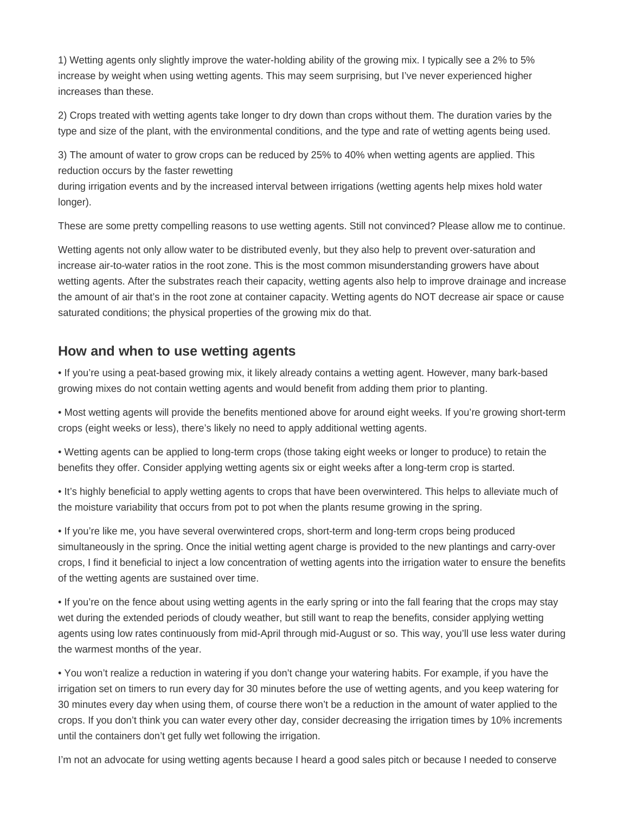1) Wetting agents only slightly improve the water-holding ability of the growing mix. I typically see a 2% to 5% increase by weight when using wetting agents. This may seem surprising, but I've never experienced higher increases than these.

2) Crops treated with wetting agents take longer to dry down than crops without them. The duration varies by the type and size of the plant, with the environmental conditions, and the type and rate of wetting agents being used.

3) The amount of water to grow crops can be reduced by 25% to 40% when wetting agents are applied. This reduction occurs by the faster rewetting

during irrigation events and by the increased interval between irrigations (wetting agents help mixes hold water longer).

These are some pretty compelling reasons to use wetting agents. Still not convinced? Please allow me to continue.

Wetting agents not only allow water to be distributed evenly, but they also help to prevent over-saturation and increase air-to-water ratios in the root zone. This is the most common misunderstanding growers have about wetting agents. After the substrates reach their capacity, wetting agents also help to improve drainage and increase the amount of air that's in the root zone at container capacity. Wetting agents do NOT decrease air space or cause saturated conditions; the physical properties of the growing mix do that.

### **How and when to use wetting agents**

• If you're using a peat-based growing mix, it likely already contains a wetting agent. However, many bark-based growing mixes do not contain wetting agents and would benefit from adding them prior to planting.

• Most wetting agents will provide the benefits mentioned above for around eight weeks. If you're growing short-term crops (eight weeks or less), there's likely no need to apply additional wetting agents.

• Wetting agents can be applied to long-term crops (those taking eight weeks or longer to produce) to retain the benefits they offer. Consider applying wetting agents six or eight weeks after a long-term crop is started.

• It's highly beneficial to apply wetting agents to crops that have been overwintered. This helps to alleviate much of the moisture variability that occurs from pot to pot when the plants resume growing in the spring.

• If you're like me, you have several overwintered crops, short-term and long-term crops being produced simultaneously in the spring. Once the initial wetting agent charge is provided to the new plantings and carry-over crops, I find it beneficial to inject a low concentration of wetting agents into the irrigation water to ensure the benefits of the wetting agents are sustained over time.

• If you're on the fence about using wetting agents in the early spring or into the fall fearing that the crops may stay wet during the extended periods of cloudy weather, but still want to reap the benefits, consider applying wetting agents using low rates continuously from mid-April through mid-August or so. This way, you'll use less water during the warmest months of the year.

• You won't realize a reduction in watering if you don't change your watering habits. For example, if you have the irrigation set on timers to run every day for 30 minutes before the use of wetting agents, and you keep watering for 30 minutes every day when using them, of course there won't be a reduction in the amount of water applied to the crops. If you don't think you can water every other day, consider decreasing the irrigation times by 10% increments until the containers don't get fully wet following the irrigation.

I'm not an advocate for using wetting agents because I heard a good sales pitch or because I needed to conserve